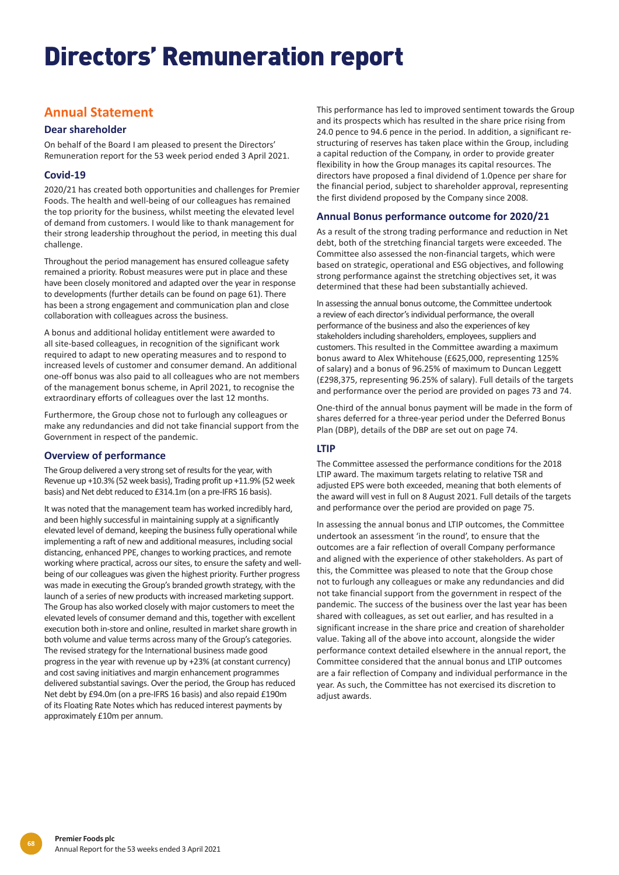# Directors' Remuneration report

# **Annual Statement**

# **Dear shareholder**

On behalf of the Board I am pleased to present the Directors' Remuneration report for the 53 week period ended 3 April 2021.

# **Covid-19**

2020/21 has created both opportunities and challenges for Premier Foods. The health and well-being of our colleagues has remained the top priority for the business, whilst meeting the elevated level of demand from customers. I would like to thank management for their strong leadership throughout the period, in meeting this dual challenge.

Throughout the period management has ensured colleague safety remained a priority. Robust measures were put in place and these have been closely monitored and adapted over the year in response to developments (further details can be found on page 61). There has been a strong engagement and communication plan and close collaboration with colleagues across the business.

A bonus and additional holiday entitlement were awarded to all site-based colleagues, in recognition of the significant work required to adapt to new operating measures and to respond to increased levels of customer and consumer demand. An additional one-off bonus was also paid to all colleagues who are not members of the management bonus scheme, in April 2021, to recognise the extraordinary efforts of colleagues over the last 12 months.

Furthermore, the Group chose not to furlough any colleagues or make any redundancies and did not take financial support from the Government in respect of the pandemic.

# **Overview of performance**

The Group delivered a very strong set of results for the year, with Revenue up +10.3% (52 week basis), Trading profit up +11.9% (52 week basis) and Net debt reduced to £314.1m (on a pre-IFRS 16 basis).

It was noted that the management team has worked incredibly hard, and been highly successful in maintaining supply at a significantly elevated level of demand, keeping the business fully operational while implementing a raft of new and additional measures, including social distancing, enhanced PPE, changes to working practices, and remote working where practical, across our sites, to ensure the safety and wellbeing of our colleagues was given the highest priority. Further progress was made in executing the Group's branded growth strategy, with the launch of a series of new products with increased marketing support. The Group has also worked closely with major customers to meet the elevated levels of consumer demand and this, together with excellent execution both in-store and online, resulted in market share growth in both volume and value terms across many of the Group's categories. The revised strategy for the International business made good progress in the year with revenue up by +23% (at constant currency) and cost saving initiatives and margin enhancement programmes delivered substantial savings. Over the period, the Group has reduced Net debt by £94.0m (on a pre-IFRS 16 basis) and also repaid £190m of its Floating Rate Notes which has reduced interest payments by approximately £10m per annum.

This performance has led to improved sentiment towards the Group and its prospects which has resulted in the share price rising from 24.0 pence to 94.6 pence in the period. In addition, a significant restructuring of reserves has taken place within the Group, including a capital reduction of the Company, in order to provide greater flexibility in how the Group manages its capital resources. The directors have proposed a final dividend of 1.0pence per share for the financial period, subject to shareholder approval, representing the first dividend proposed by the Company since 2008.

## **Annual Bonus performance outcome for 2020/21**

As a result of the strong trading performance and reduction in Net debt, both of the stretching financial targets were exceeded. The Committee also assessed the non-financial targets, which were based on strategic, operational and ESG objectives, and following strong performance against the stretching objectives set, it was determined that these had been substantially achieved.

In assessing the annual bonus outcome, the Committee undertook a review of each director's individual performance, the overall performance of the business and also the experiences of key stakeholders including shareholders, employees, suppliers and customers. This resulted in the Committee awarding a maximum bonus award to Alex Whitehouse (£625,000, representing 125% of salary) and a bonus of 96.25% of maximum to Duncan Leggett (£298,375, representing 96.25% of salary). Full details of the targets and performance over the period are provided on pages 73 and 74.

One-third of the annual bonus payment will be made in the form of shares deferred for a three-year period under the Deferred Bonus Plan (DBP), details of the DBP are set out on page 74.

# **LTIP**

The Committee assessed the performance conditions for the 2018 LTIP award. The maximum targets relating to relative TSR and adjusted EPS were both exceeded, meaning that both elements of the award will vest in full on 8 August 2021. Full details of the targets and performance over the period are provided on page 75.

In assessing the annual bonus and LTIP outcomes, the Committee undertook an assessment 'in the round', to ensure that the outcomes are a fair reflection of overall Company performance and aligned with the experience of other stakeholders. As part of this, the Committee was pleased to note that the Group chose not to furlough any colleagues or make any redundancies and did not take financial support from the government in respect of the pandemic. The success of the business over the last year has been shared with colleagues, as set out earlier, and has resulted in a significant increase in the share price and creation of shareholder value. Taking all of the above into account, alongside the wider performance context detailed elsewhere in the annual report, the Committee considered that the annual bonus and LTIP outcomes are a fair reflection of Company and individual performance in the year. As such, the Committee has not exercised its discretion to adjust awards.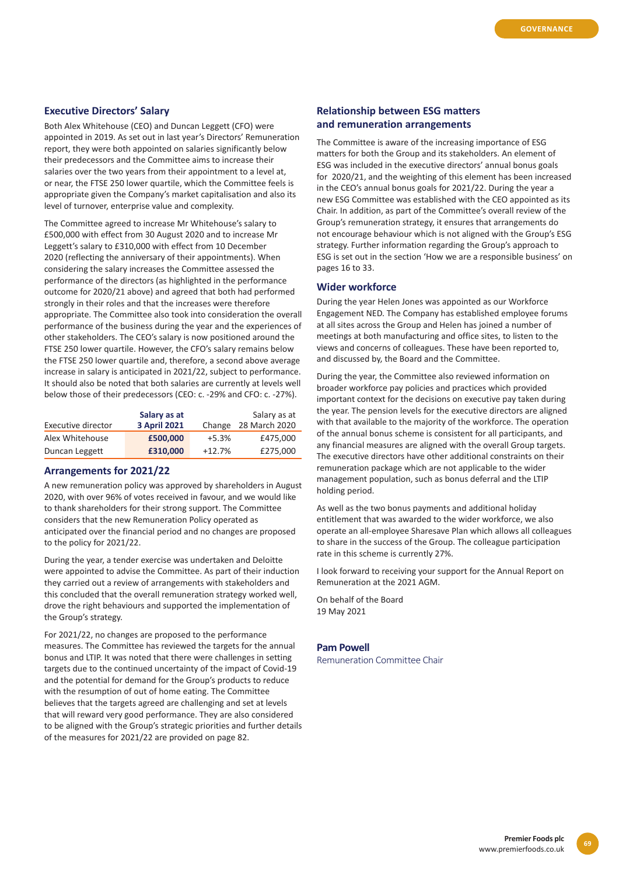## **Executive Directors' Salary**

Both Alex Whitehouse (CEO) and Duncan Leggett (CFO) were appointed in 2019. As set out in last year's Directors' Remuneration report, they were both appointed on salaries significantly below their predecessors and the Committee aims to increase their salaries over the two years from their appointment to a level at, or near, the FTSE 250 lower quartile, which the Committee feels is appropriate given the Company's market capitalisation and also its level of turnover, enterprise value and complexity.

The Committee agreed to increase Mr Whitehouse's salary to £500,000 with effect from 30 August 2020 and to increase Mr Leggett's salary to £310,000 with effect from 10 December 2020 (reflecting the anniversary of their appointments). When considering the salary increases the Committee assessed the performance of the directors (as highlighted in the performance outcome for 2020/21 above) and agreed that both had performed strongly in their roles and that the increases were therefore appropriate. The Committee also took into consideration the overall performance of the business during the year and the experiences of other stakeholders. The CEO's salary is now positioned around the FTSE 250 lower quartile. However, the CFO's salary remains below the FTSE 250 lower quartile and, therefore, a second above average increase in salary is anticipated in 2021/22, subject to performance. It should also be noted that both salaries are currently at levels well below those of their predecessors (CEO: c. -29% and CFO: c. -27%).

| Executive director | Salary as at<br><b>3 April 2021</b> | Salary as at<br>Change 28 March 2020 |          |
|--------------------|-------------------------------------|--------------------------------------|----------|
| Alex Whitehouse    | £500,000                            | $+5.3%$                              | £475,000 |
| Duncan Leggett     | £310,000                            | $+12.7%$                             | £275,000 |

### **Arrangements for 2021/22**

A new remuneration policy was approved by shareholders in August 2020, with over 96% of votes received in favour, and we would like to thank shareholders for their strong support. The Committee considers that the new Remuneration Policy operated as anticipated over the financial period and no changes are proposed to the policy for 2021/22.

During the year, a tender exercise was undertaken and Deloitte were appointed to advise the Committee. As part of their induction they carried out a review of arrangements with stakeholders and this concluded that the overall remuneration strategy worked well, drove the right behaviours and supported the implementation of the Group's strategy.

For 2021/22, no changes are proposed to the performance measures. The Committee has reviewed the targets for the annual bonus and LTIP. It was noted that there were challenges in setting targets due to the continued uncertainty of the impact of Covid-19 and the potential for demand for the Group's products to reduce with the resumption of out of home eating. The Committee believes that the targets agreed are challenging and set at levels that will reward very good performance. They are also considered to be aligned with the Group's strategic priorities and further details of the measures for 2021/22 are provided on page 82.

# **Relationship between ESG matters and remuneration arrangements**

The Committee is aware of the increasing importance of ESG matters for both the Group and its stakeholders. An element of ESG was included in the executive directors' annual bonus goals for 2020/21, and the weighting of this element has been increased in the CEO's annual bonus goals for 2021/22. During the year a new ESG Committee was established with the CEO appointed as its Chair. In addition, as part of the Committee's overall review of the Group's remuneration strategy, it ensures that arrangements do not encourage behaviour which is not aligned with the Group's ESG strategy. Further information regarding the Group's approach to ESG is set out in the section 'How we are a responsible business' on pages 16 to 33.

#### **Wider workforce**

During the year Helen Jones was appointed as our Workforce Engagement NED. The Company has established employee forums at all sites across the Group and Helen has joined a number of meetings at both manufacturing and office sites, to listen to the views and concerns of colleagues. These have been reported to, and discussed by, the Board and the Committee.

During the year, the Committee also reviewed information on broader workforce pay policies and practices which provided important context for the decisions on executive pay taken during the year. The pension levels for the executive directors are aligned with that available to the majority of the workforce. The operation of the annual bonus scheme is consistent for all participants, and any financial measures are aligned with the overall Group targets. The executive directors have other additional constraints on their remuneration package which are not applicable to the wider management population, such as bonus deferral and the LTIP holding period.

As well as the two bonus payments and additional holiday entitlement that was awarded to the wider workforce, we also operate an all-employee Sharesave Plan which allows all colleagues to share in the success of the Group. The colleague participation rate in this scheme is currently 27%.

I look forward to receiving your support for the Annual Report on Remuneration at the 2021 AGM.

On behalf of the Board 19 May 2021

#### **Pam Powell**

Remuneration Committee Chair

**69**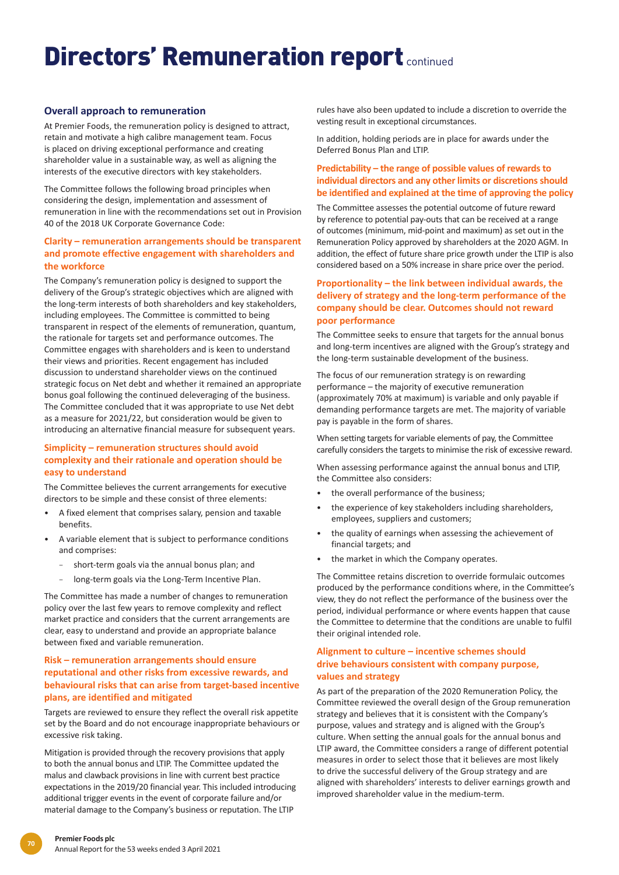# **Overall approach to remuneration**

At Premier Foods, the remuneration policy is designed to attract, retain and motivate a high calibre management team. Focus is placed on driving exceptional performance and creating shareholder value in a sustainable way, as well as aligning the interests of the executive directors with key stakeholders.

The Committee follows the following broad principles when considering the design, implementation and assessment of remuneration in line with the recommendations set out in Provision 40 of the 2018 UK Corporate Governance Code:

# **Clarity – remuneration arrangements should be transparent and promote effective engagement with shareholders and the workforce**

The Company's remuneration policy is designed to support the delivery of the Group's strategic objectives which are aligned with the long-term interests of both shareholders and key stakeholders, including employees. The Committee is committed to being transparent in respect of the elements of remuneration, quantum, the rationale for targets set and performance outcomes. The Committee engages with shareholders and is keen to understand their views and priorities. Recent engagement has included discussion to understand shareholder views on the continued strategic focus on Net debt and whether it remained an appropriate bonus goal following the continued deleveraging of the business. The Committee concluded that it was appropriate to use Net debt as a measure for 2021/22, but consideration would be given to introducing an alternative financial measure for subsequent years.

## **Simplicity – remuneration structures should avoid complexity and their rationale and operation should be easy to understand**

The Committee believes the current arrangements for executive directors to be simple and these consist of three elements:

- A fixed element that comprises salary, pension and taxable benefits.
- A variable element that is subject to performance conditions and comprises:
	- short-term goals via the annual bonus plan; and
	- − long-term goals via the Long-Term Incentive Plan.

The Committee has made a number of changes to remuneration policy over the last few years to remove complexity and reflect market practice and considers that the current arrangements are clear, easy to understand and provide an appropriate balance between fixed and variable remuneration.

## **Risk – remuneration arrangements should ensure reputational and other risks from excessive rewards, and behavioural risks that can arise from target-based incentive plans, are identified and mitigated**

Targets are reviewed to ensure they reflect the overall risk appetite set by the Board and do not encourage inappropriate behaviours or excessive risk taking.

Mitigation is provided through the recovery provisions that apply to both the annual bonus and LTIP. The Committee updated the malus and clawback provisions in line with current best practice expectations in the 2019/20 financial year. This included introducing additional trigger events in the event of corporate failure and/or material damage to the Company's business or reputation. The LTIP

rules have also been updated to include a discretion to override the vesting result in exceptional circumstances.

In addition, holding periods are in place for awards under the Deferred Bonus Plan and LTIP.

# **Predictability – the range of possible values of rewards to individual directors and any other limits or discretions should be identified and explained at the time of approving the policy**

The Committee assesses the potential outcome of future reward by reference to potential pay-outs that can be received at a range of outcomes (minimum, mid-point and maximum) as set out in the Remuneration Policy approved by shareholders at the 2020 AGM. In addition, the effect of future share price growth under the LTIP is also considered based on a 50% increase in share price over the period.

# **Proportionality – the link between individual awards, the delivery of strategy and the long-term performance of the company should be clear. Outcomes should not reward poor performance**

The Committee seeks to ensure that targets for the annual bonus and long-term incentives are aligned with the Group's strategy and the long-term sustainable development of the business.

The focus of our remuneration strategy is on rewarding performance – the majority of executive remuneration (approximately 70% at maximum) is variable and only payable if demanding performance targets are met. The majority of variable pay is payable in the form of shares.

When setting targets for variable elements of pay, the Committee carefully considers the targets to minimise the risk of excessive reward.

When assessing performance against the annual bonus and LTIP, the Committee also considers:

- the overall performance of the business;
- the experience of key stakeholders including shareholders, employees, suppliers and customers;
- the quality of earnings when assessing the achievement of financial targets; and
- the market in which the Company operates.

The Committee retains discretion to override formulaic outcomes produced by the performance conditions where, in the Committee's view, they do not reflect the performance of the business over the period, individual performance or where events happen that cause the Committee to determine that the conditions are unable to fulfil their original intended role.

## **Alignment to culture – incentive schemes should drive behaviours consistent with company purpose, values and strategy**

As part of the preparation of the 2020 Remuneration Policy, the Committee reviewed the overall design of the Group remuneration strategy and believes that it is consistent with the Company's purpose, values and strategy and is aligned with the Group's culture. When setting the annual goals for the annual bonus and LTIP award, the Committee considers a range of different potential measures in order to select those that it believes are most likely to drive the successful delivery of the Group strategy and are aligned with shareholders' interests to deliver earnings growth and improved shareholder value in the medium-term.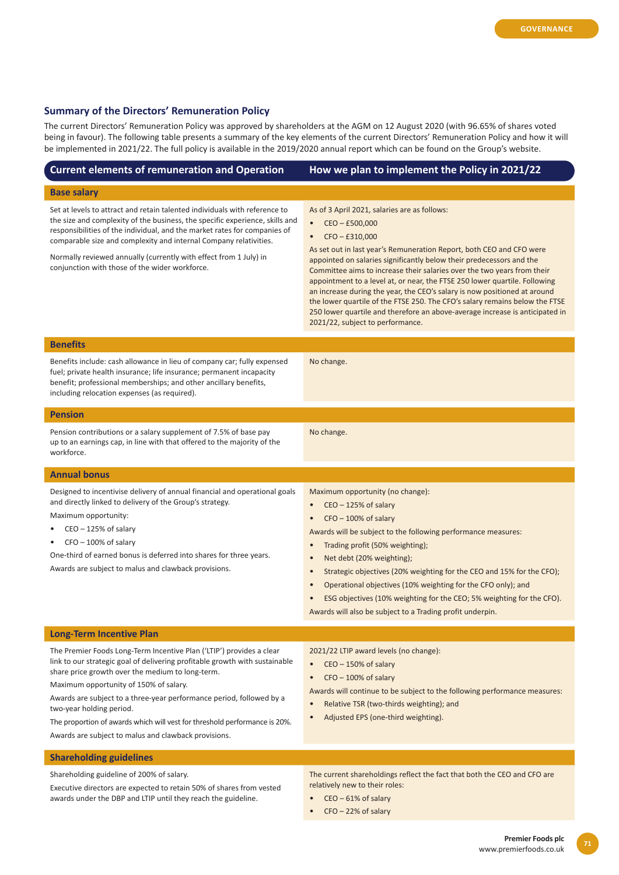# **Summary of the Directors' Remuneration Policy**

 $\overline{1}$ 

The current Directors' Remuneration Policy was approved by shareholders at the AGM on 12 August 2020 (with 96.65% of shares voted being in favour). The following table presents a summary of the key elements of the current Directors' Remuneration Policy and how it will be implemented in 2021/22. The full policy is available in the 2019/2020 annual report which can be found on the Group's website.

| <b>Current elements of remuneration and Operation</b>                                                                                                                                                                                                                                                                                                                                                                                                                                                                         | How we plan to implement the Policy in 2021/22                                                                                                                                                                                                                                                                                                                                                                                                                                                                                                                                                                                                                                                          |
|-------------------------------------------------------------------------------------------------------------------------------------------------------------------------------------------------------------------------------------------------------------------------------------------------------------------------------------------------------------------------------------------------------------------------------------------------------------------------------------------------------------------------------|---------------------------------------------------------------------------------------------------------------------------------------------------------------------------------------------------------------------------------------------------------------------------------------------------------------------------------------------------------------------------------------------------------------------------------------------------------------------------------------------------------------------------------------------------------------------------------------------------------------------------------------------------------------------------------------------------------|
| <b>Base salary</b>                                                                                                                                                                                                                                                                                                                                                                                                                                                                                                            |                                                                                                                                                                                                                                                                                                                                                                                                                                                                                                                                                                                                                                                                                                         |
| Set at levels to attract and retain talented individuals with reference to<br>the size and complexity of the business, the specific experience, skills and<br>responsibilities of the individual, and the market rates for companies of<br>comparable size and complexity and internal Company relativities.<br>Normally reviewed annually (currently with effect from 1 July) in<br>conjunction with those of the wider workforce.                                                                                           | As of 3 April 2021, salaries are as follows:<br>$CEO - E500,000$<br>$\bullet$<br>$CFO - E310,000$<br>$\bullet$<br>As set out in last year's Remuneration Report, both CEO and CFO were<br>appointed on salaries significantly below their predecessors and the<br>Committee aims to increase their salaries over the two years from their<br>appointment to a level at, or near, the FTSE 250 lower quartile. Following<br>an increase during the year, the CEO's salary is now positioned at around<br>the lower quartile of the FTSE 250. The CFO's salary remains below the FTSE<br>250 lower quartile and therefore an above-average increase is anticipated in<br>2021/22, subject to performance. |
| <b>Benefits</b>                                                                                                                                                                                                                                                                                                                                                                                                                                                                                                               |                                                                                                                                                                                                                                                                                                                                                                                                                                                                                                                                                                                                                                                                                                         |
| Benefits include: cash allowance in lieu of company car; fully expensed<br>fuel; private health insurance; life insurance; permanent incapacity<br>benefit; professional memberships; and other ancillary benefits,<br>including relocation expenses (as required).                                                                                                                                                                                                                                                           | No change.                                                                                                                                                                                                                                                                                                                                                                                                                                                                                                                                                                                                                                                                                              |
| <b>Pension</b>                                                                                                                                                                                                                                                                                                                                                                                                                                                                                                                |                                                                                                                                                                                                                                                                                                                                                                                                                                                                                                                                                                                                                                                                                                         |
| Pension contributions or a salary supplement of 7.5% of base pay<br>up to an earnings cap, in line with that offered to the majority of the<br>workforce.                                                                                                                                                                                                                                                                                                                                                                     | No change.                                                                                                                                                                                                                                                                                                                                                                                                                                                                                                                                                                                                                                                                                              |
| <b>Annual bonus</b>                                                                                                                                                                                                                                                                                                                                                                                                                                                                                                           |                                                                                                                                                                                                                                                                                                                                                                                                                                                                                                                                                                                                                                                                                                         |
| Designed to incentivise delivery of annual financial and operational goals<br>and directly linked to delivery of the Group's strategy.<br>Maximum opportunity:<br>$CEO - 125%$ of salary<br>$CFO - 100\%$ of salary<br>One-third of earned bonus is deferred into shares for three years.<br>Awards are subject to malus and clawback provisions.                                                                                                                                                                             | Maximum opportunity (no change):<br>$CEO - 125%$ of salary<br>$\bullet$<br>$CFO - 100\%$ of salary<br>$\bullet$<br>Awards will be subject to the following performance measures:<br>Trading profit (50% weighting);<br>$\bullet$<br>Net debt (20% weighting);<br>$\bullet$<br>Strategic objectives (20% weighting for the CEO and 15% for the CFO);<br>$\bullet$<br>Operational objectives (10% weighting for the CFO only); and<br>$\bullet$<br>ESG objectives (10% weighting for the CEO; 5% weighting for the CFO).<br>$\bullet$<br>Awards will also be subject to a Trading profit underpin.                                                                                                        |
| <b>Long-Term Incentive Plan</b>                                                                                                                                                                                                                                                                                                                                                                                                                                                                                               |                                                                                                                                                                                                                                                                                                                                                                                                                                                                                                                                                                                                                                                                                                         |
| The Premier Foods Long-Term Incentive Plan ('LTIP') provides a clear<br>link to our strategic goal of delivering profitable growth with sustainable<br>share price growth over the medium to long-term.<br>Maximum opportunity of 150% of salary.<br>Awards are subject to a three-year performance period, followed by a<br>two-year holding period.<br>The proportion of awards which will vest for threshold performance is 20%.<br>Awards are subject to malus and clawback provisions.<br><b>Shareholding guidelines</b> | 2021/22 LTIP award levels (no change):<br>CEO - 150% of salary<br>$\bullet$<br>$CFO - 100\%$ of salary<br>$\bullet$<br>Awards will continue to be subject to the following performance measures:<br>Relative TSR (two-thirds weighting); and<br>$\bullet$<br>Adjusted EPS (one-third weighting).<br>$\bullet$                                                                                                                                                                                                                                                                                                                                                                                           |

Shareholding guideline of 200% of salary.

Executive directors are expected to retain 50% of shares from vested awards under the DBP and LTIP until they reach the guideline.

The current shareholdings reflect the fact that both the CEO and CFO are relatively new to their roles:

- CEO 61% of salary
- CFO 22% of salary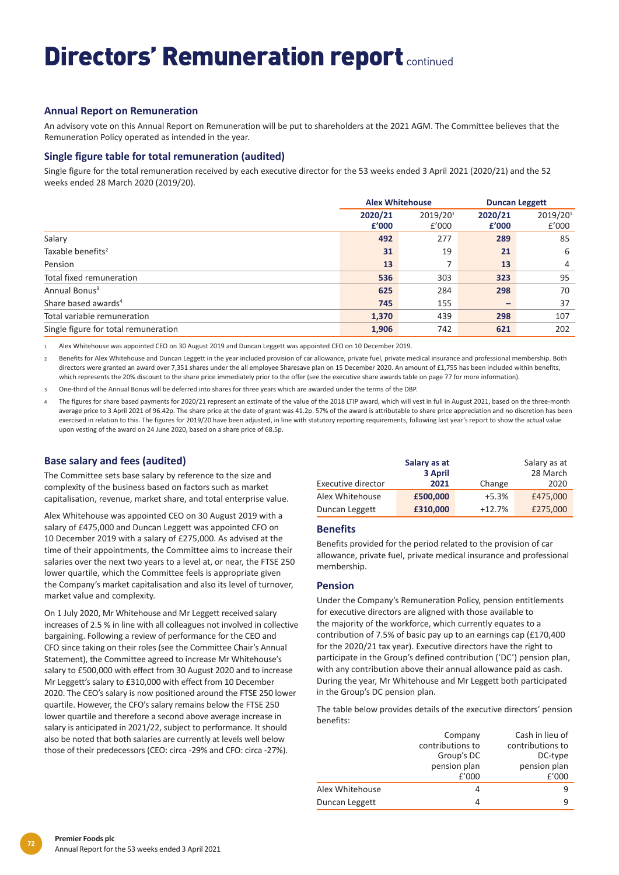# **Annual Report on Remuneration**

An advisory vote on this Annual Report on Remuneration will be put to shareholders at the 2021 AGM. The Committee believes that the Remuneration Policy operated as intended in the year.

# **Single figure table for total remuneration (audited)**

Single figure for the total remuneration received by each executive director for the 53 weeks ended 3 April 2021 (2020/21) and the 52 weeks ended 28 March 2020 (2019/20).

|                                      | <b>Alex Whitehouse</b> |                   |                  | <b>Duncan Leggett</b> |
|--------------------------------------|------------------------|-------------------|------------------|-----------------------|
|                                      | 2020/21<br>£'000       | 2019/201<br>£'000 | 2020/21<br>£'000 | 2019/201<br>£'000     |
| Salary                               | 492                    | 277               | 289              | 85                    |
| Taxable benefits <sup>2</sup>        | 31                     | 19                | 21               | 6                     |
| Pension                              | 13                     |                   | 13               | 4                     |
| Total fixed remuneration             | 536                    | 303               | 323              | 95                    |
| Annual Bonus <sup>3</sup>            | 625                    | 284               | 298              | 70                    |
| Share based awards <sup>4</sup>      | 745                    | 155               |                  | 37                    |
| Total variable remuneration          | 1,370                  | 439               | 298              | 107                   |
| Single figure for total remuneration | 1,906                  | 742               | 621              | 202                   |

1 Alex Whitehouse was appointed CEO on 30 August 2019 and Duncan Leggett was appointed CFO on 10 December 2019.

Benefits for Alex Whitehouse and Duncan Leggett in the year included provision of car allowance, private fuel, private medical insurance and professional membership. Both directors were granted an award over 7,351 shares under the all employee Sharesave plan on 15 December 2020. An amount of £1,755 has been included within benefits, which represents the 20% discount to the share price immediately prior to the offer (see the executive share awards table on page 77 for more information).

3 One-third of the Annual Bonus will be deferred into shares for three years which are awarded under the terms of the DBP.

The figures for share based payments for 2020/21 represent an estimate of the value of the 2018 LTIP award, which will vest in full in August 2021, based on the three-month average price to 3 April 2021 of 96.42p. The share price at the date of grant was 41.2p. 57% of the award is attributable to share price appreciation and no discretion has been exercised in relation to this. The figures for 2019/20 have been adjusted, in line with statutory reporting requirements, following last year's report to show the actual value upon vesting of the award on 24 June 2020, based on a share price of 68.5p.

# **Base salary and fees (audited)**

The Committee sets base salary by reference to the size and complexity of the business based on factors such as market capitalisation, revenue, market share, and total enterprise value.

Alex Whitehouse was appointed CEO on 30 August 2019 with a salary of £475,000 and Duncan Leggett was appointed CFO on 10 December 2019 with a salary of £275,000. As advised at the time of their appointments, the Committee aims to increase their salaries over the next two years to a level at, or near, the FTSE 250 lower quartile, which the Committee feels is appropriate given the Company's market capitalisation and also its level of turnover, market value and complexity.

On 1 July 2020, Mr Whitehouse and Mr Leggett received salary increases of 2.5 % in line with all colleagues not involved in collective bargaining. Following a review of performance for the CEO and CFO since taking on their roles (see the Committee Chair's Annual Statement), the Committee agreed to increase Mr Whitehouse's salary to £500,000 with effect from 30 August 2020 and to increase Mr Leggett's salary to £310,000 with effect from 10 December 2020. The CEO's salary is now positioned around the FTSE 250 lower quartile. However, the CFO's salary remains below the FTSE 250 lower quartile and therefore a second above average increase in salary is anticipated in 2021/22, subject to performance. It should also be noted that both salaries are currently at levels well below those of their predecessors (CEO: circa -29% and CFO: circa -27%).

|                    | Salary as at<br>3 April |          | Salary as at<br>28 March |
|--------------------|-------------------------|----------|--------------------------|
| Executive director | 2021                    | Change   | 2020                     |
| Alex Whitehouse    | £500,000                | $+5.3%$  | £475,000                 |
| Duncan Leggett     | £310,000                | $+12.7%$ | £275,000                 |

## **Benefits**

Benefits provided for the period related to the provision of car allowance, private fuel, private medical insurance and professional membership.

# **Pension**

Under the Company's Remuneration Policy, pension entitlements for executive directors are aligned with those available to the majority of the workforce, which currently equates to a contribution of 7.5% of basic pay up to an earnings cap (£170,400 for the 2020/21 tax year). Executive directors have the right to participate in the Group's defined contribution ('DC') pension plan, with any contribution above their annual allowance paid as cash. During the year, Mr Whitehouse and Mr Leggett both participated in the Group's DC pension plan.

The table below provides details of the executive directors' pension benefits:

|                 | Company          | Cash in lieu of  |
|-----------------|------------------|------------------|
|                 | contributions to | contributions to |
|                 | Group's DC       | DC-type          |
|                 | pension plan     | pension plan     |
|                 | f'000            | f'000            |
| Alex Whitehouse | 4                | q                |
| Duncan Leggett  | 4                | q                |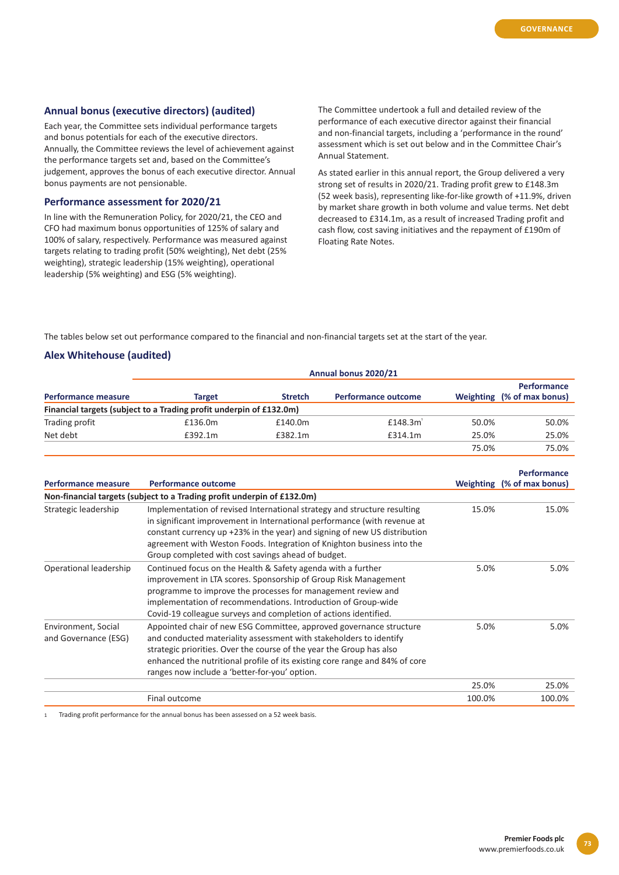### **Annual bonus (executive directors) (audited)**

Each year, the Committee sets individual performance targets and bonus potentials for each of the executive directors. Annually, the Committee reviews the level of achievement against the performance targets set and, based on the Committee's judgement, approves the bonus of each executive director. Annual bonus payments are not pensionable.

#### **Performance assessment for 2020/21**

In line with the Remuneration Policy, for 2020/21, the CEO and CFO had maximum bonus opportunities of 125% of salary and 100% of salary, respectively. Performance was measured against targets relating to trading profit (50% weighting), Net debt (25% weighting), strategic leadership (15% weighting), operational leadership (5% weighting) and ESG (5% weighting).

The Committee undertook a full and detailed review of the performance of each executive director against their financial and non-financial targets, including a 'performance in the round' assessment which is set out below and in the Committee Chair's Annual Statement.

As stated earlier in this annual report, the Group delivered a very strong set of results in 2020/21. Trading profit grew to £148.3m (52 week basis), representing like-for-like growth of +11.9%, driven by market share growth in both volume and value terms. Net debt decreased to £314.1m, as a result of increased Trading profit and cash flow, cost saving initiatives and the repayment of £190m of Floating Rate Notes.

The tables below set out performance compared to the financial and non-financial targets set at the start of the year.

#### **Alex Whitehouse (audited)**

|                                                                     | Annual bonus 2020/21 |                |                            |       |                                                  |  |  |
|---------------------------------------------------------------------|----------------------|----------------|----------------------------|-------|--------------------------------------------------|--|--|
| <b>Performance measure</b>                                          | <b>Target</b>        | <b>Stretch</b> | <b>Performance outcome</b> |       | <b>Performance</b><br>Weighting (% of max bonus) |  |  |
| Financial targets (subject to a Trading profit underpin of £132.0m) |                      |                |                            |       |                                                  |  |  |
| Trading profit                                                      | £136.0m              | £140.0m        | $£148.3m$ <sup>'</sup>     | 50.0% | 50.0%                                            |  |  |
| Net debt                                                            | £392.1m              | £382.1m        | £314.1m                    | 25.0% | 25.0%                                            |  |  |
|                                                                     |                      |                |                            | 75.0% | 75.0%                                            |  |  |

|                                             |                                                                                                                                                                                                                                                                                                                                                                   |        | <b>Performance</b>         |
|---------------------------------------------|-------------------------------------------------------------------------------------------------------------------------------------------------------------------------------------------------------------------------------------------------------------------------------------------------------------------------------------------------------------------|--------|----------------------------|
| <b>Performance measure</b>                  | <b>Performance outcome</b>                                                                                                                                                                                                                                                                                                                                        |        | Weighting (% of max bonus) |
|                                             | Non-financial targets (subject to a Trading profit underpin of £132.0m)                                                                                                                                                                                                                                                                                           |        |                            |
| Strategic leadership                        | Implementation of revised International strategy and structure resulting<br>in significant improvement in International performance (with revenue at<br>constant currency up +23% in the year) and signing of new US distribution<br>agreement with Weston Foods. Integration of Knighton business into the<br>Group completed with cost savings ahead of budget. | 15.0%  | 15.0%                      |
| Operational leadership                      | Continued focus on the Health & Safety agenda with a further<br>improvement in LTA scores. Sponsorship of Group Risk Management<br>programme to improve the processes for management review and<br>implementation of recommendations. Introduction of Group-wide<br>Covid-19 colleague surveys and completion of actions identified.                              | 5.0%   | 5.0%                       |
| Environment, Social<br>and Governance (ESG) | Appointed chair of new ESG Committee, approved governance structure<br>and conducted materiality assessment with stakeholders to identify<br>strategic priorities. Over the course of the year the Group has also<br>enhanced the nutritional profile of its existing core range and 84% of core<br>ranges now include a 'better-for-you' option.                 | 5.0%   | 5.0%                       |
|                                             |                                                                                                                                                                                                                                                                                                                                                                   | 25.0%  | 25.0%                      |
|                                             | Final outcome                                                                                                                                                                                                                                                                                                                                                     | 100.0% | 100.0%                     |

1 Trading profit performance for the annual bonus has been assessed on a 52 week basis.

**73**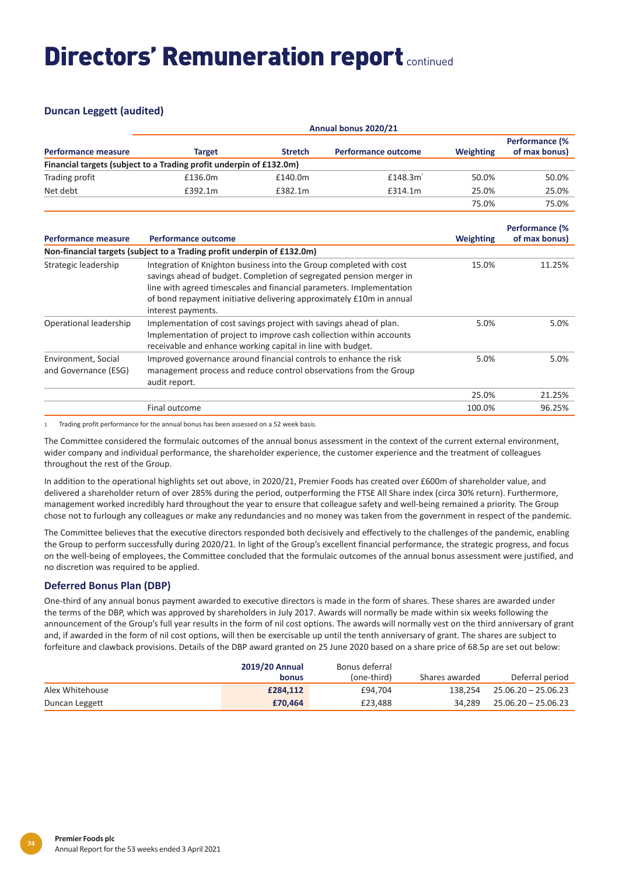# **Duncan Leggett (audited)**

| <b>Performance measure</b> | Annual bonus 2020/21                                                |                |                            |                  |                                        |  |  |
|----------------------------|---------------------------------------------------------------------|----------------|----------------------------|------------------|----------------------------------------|--|--|
|                            | <b>Target</b>                                                       | <b>Stretch</b> | <b>Performance outcome</b> | <b>Weighting</b> | <b>Performance (%</b><br>of max bonus) |  |  |
|                            | Financial targets (subject to a Trading profit underpin of £132.0m) |                |                            |                  |                                        |  |  |
| Trading profit             | £136.0m                                                             | £140.0m        | $£148.3m$ <sup>'</sup>     | 50.0%            | 50.0%                                  |  |  |
| Net debt                   | £392.1m                                                             | £382.1m        | £314.1m                    | 25.0%            | 25.0%                                  |  |  |
|                            |                                                                     |                |                            | 75.0%            | 75.0%                                  |  |  |

| Performance measure                         | Performance outcome                                                                                                                                                                                                                                                                                              | <b>Weighting</b> | <b>Performance (%</b><br>of max bonus) |
|---------------------------------------------|------------------------------------------------------------------------------------------------------------------------------------------------------------------------------------------------------------------------------------------------------------------------------------------------------------------|------------------|----------------------------------------|
|                                             | Non-financial targets (subject to a Trading profit underpin of £132.0m)                                                                                                                                                                                                                                          |                  |                                        |
| Strategic leadership                        | Integration of Knighton business into the Group completed with cost<br>savings ahead of budget. Completion of segregated pension merger in<br>line with agreed timescales and financial parameters. Implementation<br>of bond repayment initiative delivering approximately £10m in annual<br>interest payments. | 15.0%            | 11.25%                                 |
| Operational leadership                      | Implementation of cost savings project with savings ahead of plan.<br>Implementation of project to improve cash collection within accounts<br>receivable and enhance working capital in line with budget.                                                                                                        | 5.0%             | 5.0%                                   |
| Environment, Social<br>and Governance (ESG) | Improved governance around financial controls to enhance the risk<br>management process and reduce control observations from the Group<br>audit report.                                                                                                                                                          | 5.0%             | 5.0%                                   |
|                                             |                                                                                                                                                                                                                                                                                                                  | 25.0%            | 21.25%                                 |
|                                             | Final outcome                                                                                                                                                                                                                                                                                                    | 100.0%           | 96.25%                                 |

1 Trading profit performance for the annual bonus has been assessed on a 52 week basis.

The Committee considered the formulaic outcomes of the annual bonus assessment in the context of the current external environment, wider company and individual performance, the shareholder experience, the customer experience and the treatment of colleagues throughout the rest of the Group.

In addition to the operational highlights set out above, in 2020/21, Premier Foods has created over £600m of shareholder value, and delivered a shareholder return of over 285% during the period, outperforming the FTSE All Share index (circa 30% return). Furthermore, management worked incredibly hard throughout the year to ensure that colleague safety and well-being remained a priority. The Group chose not to furlough any colleagues or make any redundancies and no money was taken from the government in respect of the pandemic.

The Committee believes that the executive directors responded both decisively and effectively to the challenges of the pandemic, enabling the Group to perform successfully during 2020/21. In light of the Group's excellent financial performance, the strategic progress, and focus on the well-being of employees, the Committee concluded that the formulaic outcomes of the annual bonus assessment were justified, and no discretion was required to be applied.

# **Deferred Bonus Plan (DBP)**

One-third of any annual bonus payment awarded to executive directors is made in the form of shares. These shares are awarded under the terms of the DBP, which was approved by shareholders in July 2017. Awards will normally be made within six weeks following the announcement of the Group's full year results in the form of nil cost options. The awards will normally vest on the third anniversary of grant and, if awarded in the form of nil cost options, will then be exercisable up until the tenth anniversary of grant. The shares are subject to forfeiture and clawback provisions. Details of the DBP award granted on 25 June 2020 based on a share price of 68.5p are set out below:

|                 | <b>2019/20 Annual</b><br><b>bonus</b> | Bonus deferral<br>(one-third) | Shares awarded | Deferral period       |
|-----------------|---------------------------------------|-------------------------------|----------------|-----------------------|
| Alex Whitehouse | £284.112                              | £94.704                       | 138.254        | 25.06.20 - 25.06.23   |
| Duncan Leggett  | £70,464                               | £23.488                       | 34.289         | $25.06.20 - 25.06.23$ |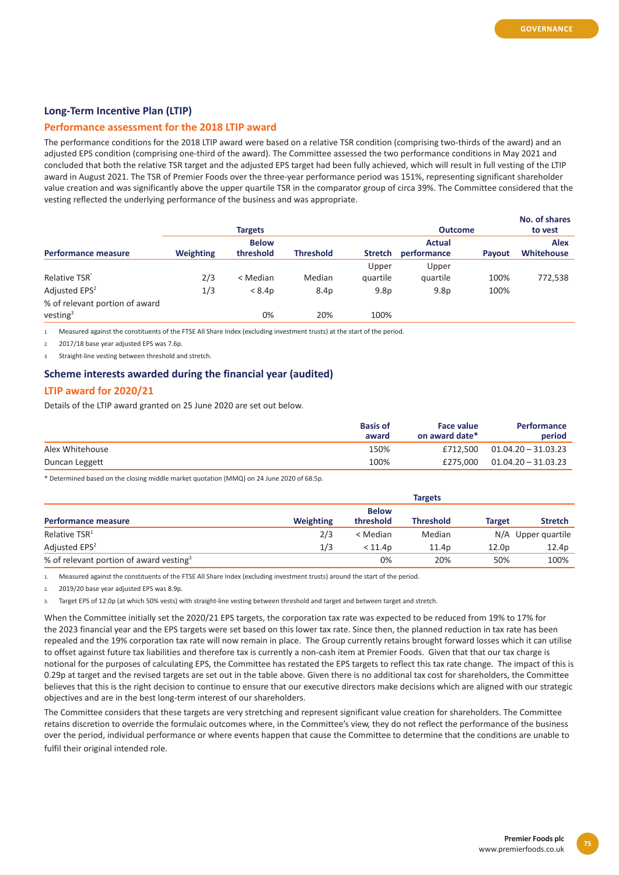## **Long-Term Incentive Plan (LTIP)**

#### **Performance assessment for the 2018 LTIP award**

The performance conditions for the 2018 LTIP award were based on a relative TSR condition (comprising two-thirds of the award) and an adjusted EPS condition (comprising one-third of the award). The Committee assessed the two performance conditions in May 2021 and concluded that both the relative TSR target and the adjusted EPS target had been fully achieved, which will result in full vesting of the LTIP award in August 2021. The TSR of Premier Foods over the three-year performance period was 151%, representing significant shareholder value creation and was significantly above the upper quartile TSR in the comparator group of circa 39%. The Committee considered that the vesting reflected the underlying performance of the business and was appropriate.

|                                |                  | <b>Targets</b> |                  |                  | <b>Outcome</b>   |               | No. of shares<br>to vest |
|--------------------------------|------------------|----------------|------------------|------------------|------------------|---------------|--------------------------|
|                                |                  | <b>Below</b>   |                  |                  | <b>Actual</b>    |               | <b>Alex</b>              |
| <b>Performance measure</b>     | <b>Weighting</b> | threshold      | <b>Threshold</b> | <b>Stretch</b>   | performance      | <b>Pavout</b> | Whitehouse               |
|                                |                  |                |                  | Upper            | Upper            |               |                          |
| Relative TSR                   | 2/3              | < Median       | Median           | quartile         | quartile         | 100%          | 772,538                  |
| Adjusted EPS <sup>2</sup>      | 1/3              | < 8.4p         | 8.4p             | 9.8 <sub>p</sub> | 9.8 <sub>p</sub> | 100%          |                          |
| % of relevant portion of award |                  |                |                  |                  |                  |               |                          |
| vesting <sup>3</sup>           |                  | 0%             | 20%              | 100%             |                  |               |                          |

1 Measured against the constituents of the FTSE All Share Index (excluding investment trusts) at the start of the period.

2 2017/18 base year adjusted EPS was 7.6p.

Straight-line vesting between threshold and stretch.

#### **Scheme interests awarded during the financial year (audited)**

### **LTIP award for 2020/21**

Details of the LTIP award granted on 25 June 2020 are set out below.

|                 | <b>Basis of</b><br>award | Face value<br>on award date* | <b>Performance</b><br>period |
|-----------------|--------------------------|------------------------------|------------------------------|
| Alex Whitehouse | 150%                     | £712.500                     | $01.04.20 - 31.03.23$        |
| Duncan Leggett  | 100%                     | £275.000                     | $01.04.20 - 31.03.23$        |

\* Determined based on the closing middle market quotation (MMQ) on 24 June 2020 of 68.5p.

|                                                     |                  |              | <b>Targets</b>   |                   |                    |
|-----------------------------------------------------|------------------|--------------|------------------|-------------------|--------------------|
|                                                     |                  | <b>Below</b> |                  |                   |                    |
| Performance measure                                 | <b>Weighting</b> | threshold    | <b>Threshold</b> | Target            | <b>Stretch</b>     |
| Relative TSR <sup>1</sup>                           | 2/3              | < Median     | Median           |                   | N/A Upper quartile |
| Adjusted EPS <sup>2</sup>                           | 1/3              | < 11.4p      | 11.4p            | 12.0 <sub>D</sub> | 12.4p              |
| % of relevant portion of award vesting <sup>3</sup> |                  | 0%           | 20%              | 50%               | 100%               |

1. Measured against the constituents of the FTSE All Share Index (excluding investment trusts) around the start of the period.

2. 2019/20 base year adjusted EPS was 8.9p.

3. Target EPS of 12.0p (at which 50% vests) with straight-line vesting between threshold and target and between target and stretch.

When the Committee initially set the 2020/21 EPS targets, the corporation tax rate was expected to be reduced from 19% to 17% for the 2023 financial year and the EPS targets were set based on this lower tax rate. Since then, the planned reduction in tax rate has been repealed and the 19% corporation tax rate will now remain in place. The Group currently retains brought forward losses which it can utilise to offset against future tax liabilities and therefore tax is currently a non-cash item at Premier Foods. Given that that our tax charge is notional for the purposes of calculating EPS, the Committee has restated the EPS targets to reflect this tax rate change. The impact of this is 0.29p at target and the revised targets are set out in the table above. Given there is no additional tax cost for shareholders, the Committee believes that this is the right decision to continue to ensure that our executive directors make decisions which are aligned with our strategic objectives and are in the best long-term interest of our shareholders.

The Committee considers that these targets are very stretching and represent significant value creation for shareholders. The Committee retains discretion to override the formulaic outcomes where, in the Committee's view, they do not reflect the performance of the business over the period, individual performance or where events happen that cause the Committee to determine that the conditions are unable to fulfil their original intended role.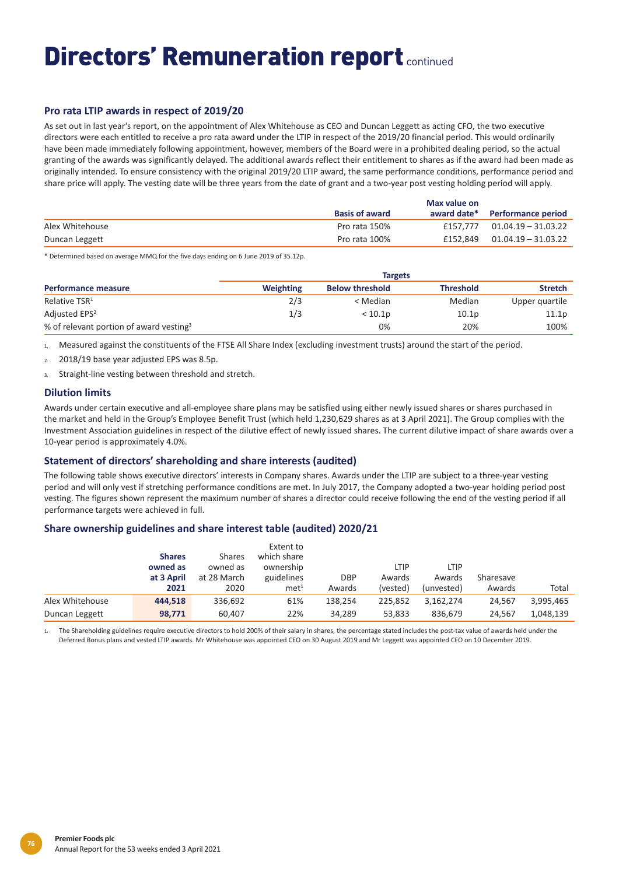# **Pro rata LTIP awards in respect of 2019/20**

As set out in last year's report, on the appointment of Alex Whitehouse as CEO and Duncan Leggett as acting CFO, the two executive directors were each entitled to receive a pro rata award under the LTIP in respect of the 2019/20 financial period. This would ordinarily have been made immediately following appointment, however, members of the Board were in a prohibited dealing period, so the actual granting of the awards was significantly delayed. The additional awards reflect their entitlement to shares as if the award had been made as originally intended. To ensure consistency with the original 2019/20 LTIP award, the same performance conditions, performance period and share price will apply. The vesting date will be three years from the date of grant and a two-year post vesting holding period will apply.

|                 |                       | Max value on |                           |
|-----------------|-----------------------|--------------|---------------------------|
|                 | <b>Basis of award</b> | award date*  | <b>Performance period</b> |
| Alex Whitehouse | Pro rata 150%         | £157.777     | 01.04.19 – 31.03.22       |
| Duncan Leggett  | Pro rata 100%         | £152.849     | 01.04.19 – 31.03.22       |

\* Determined based on average MMQ for the five days ending on 6 June 2019 of 35.12p.

|                                                     |                  |                        | <b>Targets</b>    |                |
|-----------------------------------------------------|------------------|------------------------|-------------------|----------------|
| Performance measure                                 | <b>Weighting</b> | <b>Below threshold</b> | <b>Threshold</b>  | <b>Stretch</b> |
| Relative TSR <sup>1</sup>                           | 2/3              | < Median               | Median            | Upper quartile |
| Adjusted EPS <sup>2</sup>                           | 1/3              | < 10.1 <sub>D</sub>    | 10.1 <sub>p</sub> | 11.1p          |
| % of relevant portion of award vesting <sup>3</sup> |                  | 0%                     | 20%               | 100%           |

1. Measured against the constituents of the FTSE All Share Index (excluding investment trusts) around the start of the period.

2. 2018/19 base year adjusted EPS was 8.5p.

3. Straight-line vesting between threshold and stretch.

### **Dilution limits**

Awards under certain executive and all-employee share plans may be satisfied using either newly issued shares or shares purchased in the market and held in the Group's Employee Benefit Trust (which held 1,230,629 shares as at 3 April 2021). The Group complies with the Investment Association guidelines in respect of the dilutive effect of newly issued shares. The current dilutive impact of share awards over a 10-year period is approximately 4.0%.

### **Statement of directors' shareholding and share interests (audited)**

The following table shows executive directors' interests in Company shares. Awards under the LTIP are subject to a three-year vesting period and will only vest if stretching performance conditions are met. In July 2017, the Company adopted a two-year holding period post vesting. The figures shown represent the maximum number of shares a director could receive following the end of the vesting period if all performance targets were achieved in full.

#### **Share ownership guidelines and share interest table (audited) 2020/21**

|                 | <b>Shares</b><br>owned as<br>at 3 April | <b>Shares</b><br>owned as<br>at 28 March | Extent to<br>which share<br>ownership<br>guidelines | <b>DBP</b> | LTIP<br>Awards | LTIP<br>Awards | Sharesave |           |
|-----------------|-----------------------------------------|------------------------------------------|-----------------------------------------------------|------------|----------------|----------------|-----------|-----------|
|                 | 2021                                    | 2020                                     | met <sup>1</sup>                                    | Awards     | (vested)       | (unvested)     | Awards    | Total     |
| Alex Whitehouse | 444.518                                 | 336,692                                  | 61%                                                 | 138.254    | 225.852        | 3.162.274      | 24.567    | 3,995,465 |
| Duncan Leggett  | 98,771                                  | 60,407                                   | 22%                                                 | 34,289     | 53,833         | 836.679        | 24.567    | 1,048,139 |

1. The Shareholding guidelines require executive directors to hold 200% of their salary in shares, the percentage stated includes the post-tax value of awards held under the Deferred Bonus plans and vested LTIP awards. Mr Whitehouse was appointed CEO on 30 August 2019 and Mr Leggett was appointed CFO on 10 December 2019.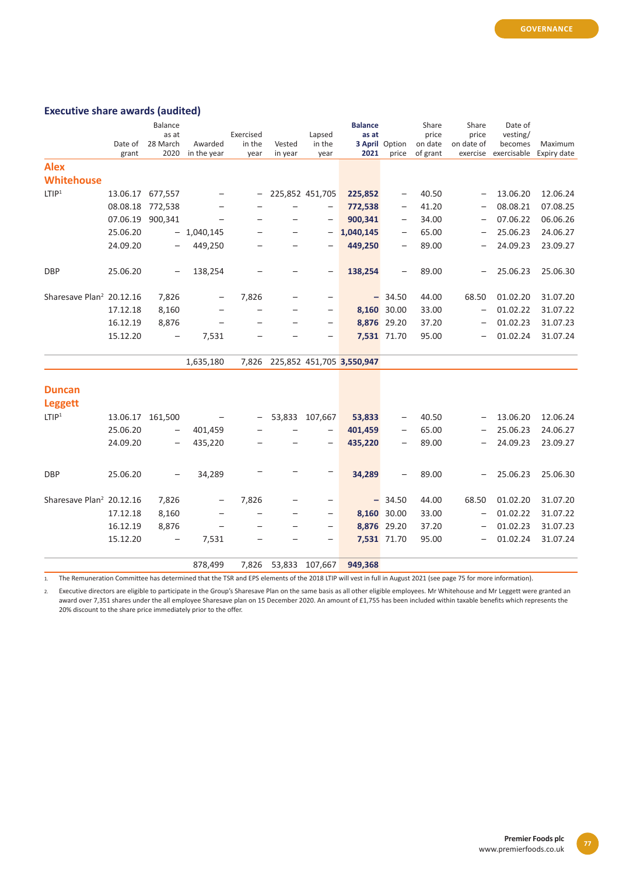# **Executive share awards (audited)**

|                                      |                  | <b>Balance</b>           |                          |           |         |                          | <b>Balance</b>            |                          | Share    | Share                    | Date of     |             |
|--------------------------------------|------------------|--------------------------|--------------------------|-----------|---------|--------------------------|---------------------------|--------------------------|----------|--------------------------|-------------|-------------|
|                                      |                  | as at                    |                          | Exercised |         | Lapsed                   | as at                     |                          | price    | price                    | vesting/    |             |
|                                      | Date of          | 28 March                 | Awarded                  | in the    | Vested  | in the                   |                           | <b>3 April</b> Option    | on date  | on date of               | becomes     | Maximum     |
|                                      | grant            | 2020                     | in the year              | year      | in year | year                     | 2021                      | price                    | of grant | exercise                 | exercisable | Expiry date |
| <b>Alex</b>                          |                  |                          |                          |           |         |                          |                           |                          |          |                          |             |             |
| <b>Whitehouse</b>                    |                  |                          |                          |           |         |                          |                           |                          |          |                          |             |             |
| LTIP <sup>1</sup>                    | 13.06.17 677,557 |                          |                          |           |         | 225,852 451,705          | 225,852                   | $\overline{\phantom{0}}$ | 40.50    | $\overline{\phantom{0}}$ | 13.06.20    | 12.06.24    |
|                                      | 08.08.18         | 772,538                  |                          |           |         | $\qquad \qquad -$        | 772,538                   | $\qquad \qquad -$        | 41.20    | $\overline{\phantom{0}}$ | 08.08.21    | 07.08.25    |
|                                      | 07.06.19         | 900,341                  | $\overline{\phantom{0}}$ |           |         | $\overline{\phantom{0}}$ | 900,341                   | $\qquad \qquad -$        | 34.00    | $\overline{\phantom{0}}$ | 07.06.22    | 06.06.26    |
|                                      | 25.06.20         |                          | $-1,040,145$             |           |         | $\qquad \qquad -$        | 1,040,145                 | $\qquad \qquad -$        | 65.00    | $\overline{\phantom{0}}$ | 25.06.23    | 24.06.27    |
|                                      | 24.09.20         |                          | 449,250                  |           |         |                          | 449,250                   | $\qquad \qquad -$        | 89.00    |                          | 24.09.23    | 23.09.27    |
| <b>DBP</b>                           | 25.06.20         | $\overline{\phantom{0}}$ | 138,254                  |           |         | $\overline{\phantom{0}}$ | 138,254                   | $\qquad \qquad -$        | 89.00    | —                        | 25.06.23    | 25.06.30    |
| Sharesave Plan <sup>2</sup> 20.12.16 |                  | 7,826                    | $\overline{\phantom{0}}$ | 7,826     |         | $\qquad \qquad -$        |                           | $-34.50$                 | 44.00    | 68.50                    | 01.02.20    | 31.07.20    |
|                                      | 17.12.18         | 8,160                    |                          |           |         | $\qquad \qquad -$        |                           | 8,160 30.00              | 33.00    | $\qquad \qquad -$        | 01.02.22    | 31.07.22    |
|                                      | 16.12.19         | 8,876                    | $\overline{\phantom{0}}$ |           |         | $\overline{\phantom{0}}$ |                           | 8,876 29.20              | 37.20    | $\overline{\phantom{0}}$ | 01.02.23    | 31.07.23    |
|                                      | 15.12.20         |                          | 7,531                    |           |         |                          |                           | 7,531 71.70              | 95.00    |                          | 01.02.24    | 31.07.24    |
|                                      |                  |                          | 1,635,180                | 7,826     |         |                          | 225,852 451,705 3,550,947 |                          |          |                          |             |             |
| <b>Duncan</b>                        |                  |                          |                          |           |         |                          |                           |                          |          |                          |             |             |
| <b>Leggett</b>                       |                  |                          |                          |           |         |                          |                           |                          |          |                          |             |             |
| LTIP <sup>1</sup>                    | 13.06.17         | 161,500                  |                          |           | 53,833  | 107,667                  | 53,833                    | $\qquad \qquad -$        | 40.50    | $\overline{\phantom{0}}$ | 13.06.20    | 12.06.24    |
|                                      | 25.06.20         | $\overline{\phantom{0}}$ | 401,459                  |           |         | $\overline{\phantom{0}}$ | 401,459                   | $\overline{\phantom{0}}$ | 65.00    |                          | 25.06.23    | 24.06.27    |
|                                      | 24.09.20         |                          | 435,220                  |           |         | $\overline{\phantom{0}}$ | 435,220                   | $\overline{\phantom{0}}$ | 89.00    |                          | 24.09.23    | 23.09.27    |
| <b>DBP</b>                           | 25.06.20         |                          | 34,289                   |           |         | —                        | 34,289                    |                          | 89.00    |                          | 25.06.23    | 25.06.30    |
| Sharesave Plan <sup>2</sup> 20.12.16 |                  | 7,826                    |                          | 7,826     |         | $\qquad \qquad -$        |                           | $-34.50$                 | 44.00    | 68.50                    | 01.02.20    | 31.07.20    |
|                                      | 17.12.18         | 8,160                    |                          |           |         | $\overline{\phantom{0}}$ |                           | 8,160 30.00              | 33.00    | $\qquad \qquad -$        | 01.02.22    | 31.07.22    |
|                                      | 16.12.19         | 8,876                    |                          |           |         |                          |                           | 8,876 29.20              | 37.20    |                          | 01.02.23    | 31.07.23    |
|                                      | 15.12.20         | $\qquad \qquad -$        | 7,531                    |           |         |                          |                           | 7,531 71.70              | 95.00    |                          | 01.02.24    | 31.07.24    |
|                                      |                  |                          | 878,499                  | 7,826     | 53,833  | 107,667                  | 949,368                   |                          |          |                          |             |             |

1. The Remuneration Committee has determined that the TSR and EPS elements of the 2018 LTIP will vest in full in August 2021 (see page 75 for more information).

2. Executive directors are eligible to participate in the Group's Sharesave Plan on the same basis as all other eligible employees. Mr Whitehouse and Mr Leggett were granted an award over 7,351 shares under the all employee Sharesave plan on 15 December 2020. An amount of £1,755 has been included within taxable benefits which represents the 20% discount to the share price immediately prior to the offer.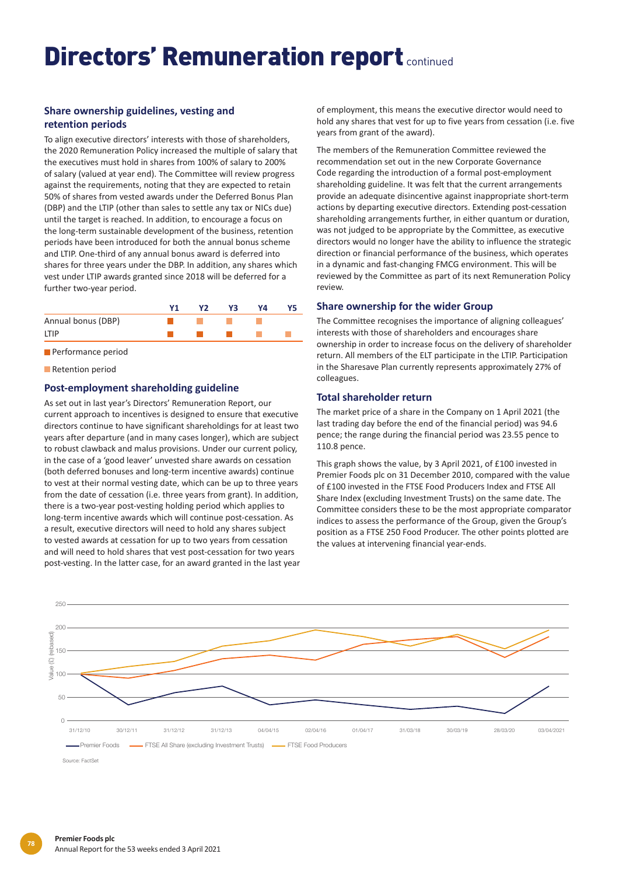# **Share ownership guidelines, vesting and retention periods**

To align executive directors' interests with those of shareholders, the 2020 Remuneration Policy increased the multiple of salary that the executives must hold in shares from 100% of salary to 200% of salary (valued at year end). The Committee will review progress against the requirements, noting that they are expected to retain 50% of shares from vested awards under the Deferred Bonus Plan (DBP) and the LTIP (other than sales to settle any tax or NICs due) until the target is reached. In addition, to encourage a focus on the long-term sustainable development of the business, retention periods have been introduced for both the annual bonus scheme and LTIP. One-third of any annual bonus award is deferred into shares for three years under the DBP. In addition, any shares which vest under LTIP awards granted since 2018 will be deferred for a further two-year period.

|                    | V2. | Υ3 | Υ4 |  |
|--------------------|-----|----|----|--|
| Annual bonus (DBP) |     |    |    |  |
| <b>ITIP</b>        |     |    |    |  |

**Performance period** 

**Retention period** 

# **Post-employment shareholding guideline**

As set out in last year's Directors' Remuneration Report, our current approach to incentives is designed to ensure that executive directors continue to have significant shareholdings for at least two years after departure (and in many cases longer), which are subject to robust clawback and malus provisions. Under our current policy, in the case of a 'good leaver' unvested share awards on cessation (both deferred bonuses and long-term incentive awards) continue to vest at their normal vesting date, which can be up to three years from the date of cessation (i.e. three years from grant). In addition, there is a two-year post-vesting holding period which applies to long-term incentive awards which will continue post-cessation. As a result, executive directors will need to hold any shares subject to vested awards at cessation for up to two years from cessation and will need to hold shares that vest post-cessation for two years post-vesting. In the latter case, for an award granted in the last year

of employment, this means the executive director would need to hold any shares that vest for up to five years from cessation (i.e. five years from grant of the award).

The members of the Remuneration Committee reviewed the recommendation set out in the new Corporate Governance Code regarding the introduction of a formal post-employment shareholding guideline. It was felt that the current arrangements provide an adequate disincentive against inappropriate short-term actions by departing executive directors. Extending post-cessation shareholding arrangements further, in either quantum or duration, was not judged to be appropriate by the Committee, as executive directors would no longer have the ability to influence the strategic direction or financial performance of the business, which operates in a dynamic and fast-changing FMCG environment. This will be reviewed by the Committee as part of its next Remuneration Policy review.

#### **Share ownership for the wider Group**

The Committee recognises the importance of aligning colleagues' interests with those of shareholders and encourages share ownership in order to increase focus on the delivery of shareholder return. All members of the ELT participate in the LTIP. Participation in the Sharesave Plan currently represents approximately 27% of colleagues.

### **Total shareholder return**

The market price of a share in the Company on 1 April 2021 (the last trading day before the end of the financial period) was 94.6 pence; the range during the financial period was 23.55 pence to 110.8 pence.

This graph shows the value, by 3 April 2021, of £100 invested in Premier Foods plc on 31 December 2010, compared with the value of £100 invested in the FTSE Food Producers Index and FTSE All Share Index (excluding Investment Trusts) on the same date. The Committee considers these to be the most appropriate comparator indices to assess the performance of the Group, given the Group's position as a FTSE 250 Food Producer. The other points plotted are the values at intervening financial year-ends.

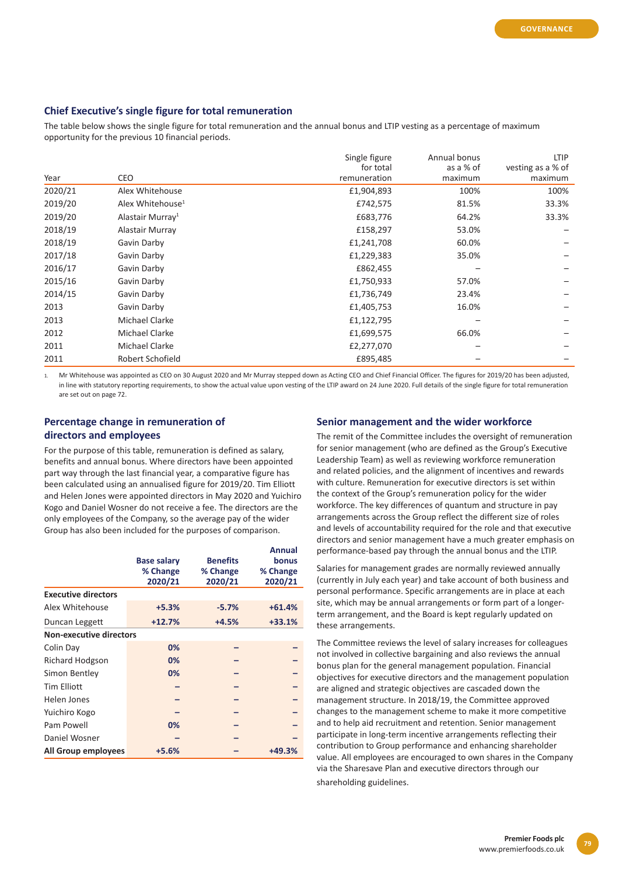# **Chief Executive's single figure for total remuneration**

The table below shows the single figure for total remuneration and the annual bonus and LTIP vesting as a percentage of maximum opportunity for the previous 10 financial periods.

| Year    | <b>CEO</b>                   | Single figure<br>for total<br>remuneration | Annual bonus<br>as a % of<br>maximum | <b>LTIP</b><br>vesting as a % of<br>maximum |
|---------|------------------------------|--------------------------------------------|--------------------------------------|---------------------------------------------|
| 2020/21 | Alex Whitehouse              | £1,904,893                                 | 100%                                 | 100%                                        |
| 2019/20 | Alex Whitehouse <sup>1</sup> | £742,575                                   | 81.5%                                | 33.3%                                       |
| 2019/20 | Alastair Murray <sup>1</sup> | £683,776                                   | 64.2%                                | 33.3%                                       |
| 2018/19 | Alastair Murray              | £158,297                                   | 53.0%                                |                                             |
| 2018/19 | Gavin Darby                  | £1,241,708                                 | 60.0%                                |                                             |
| 2017/18 | Gavin Darby                  | £1,229,383                                 | 35.0%                                |                                             |
| 2016/17 | Gavin Darby                  | £862,455                                   |                                      |                                             |
| 2015/16 | Gavin Darby                  | £1,750,933                                 | 57.0%                                |                                             |
| 2014/15 | Gavin Darby                  | £1,736,749                                 | 23.4%                                |                                             |
| 2013    | Gavin Darby                  | £1,405,753                                 | 16.0%                                |                                             |
| 2013    | Michael Clarke               | £1,122,795                                 |                                      |                                             |
| 2012    | Michael Clarke               | £1,699,575                                 | 66.0%                                |                                             |
| 2011    | Michael Clarke               | £2,277,070                                 |                                      |                                             |
| 2011    | Robert Schofield             | £895,485                                   |                                      |                                             |

1. Mr Whitehouse was appointed as CEO on 30 August 2020 and Mr Murray stepped down as Acting CEO and Chief Financial Officer. The figures for 2019/20 has been adjusted, in line with statutory reporting requirements, to show the actual value upon vesting of the LTIP award on 24 June 2020. Full details of the single figure for total remuneration are set out on page 72.

# **Percentage change in remuneration of directors and employees**

For the purpose of this table, remuneration is defined as salary, benefits and annual bonus. Where directors have been appointed part way through the last financial year, a comparative figure has been calculated using an annualised figure for 2019/20. Tim Elliott and Helen Jones were appointed directors in May 2020 and Yuichiro Kogo and Daniel Wosner do not receive a fee. The directors are the only employees of the Company, so the average pay of the wider Group has also been included for the purposes of comparison.

|                                |                    |                 | <b>Annual</b> |
|--------------------------------|--------------------|-----------------|---------------|
|                                | <b>Base salary</b> | <b>Benefits</b> | bonus         |
|                                | % Change           | % Change        | % Change      |
|                                | 2020/21            | 2020/21         | 2020/21       |
| <b>Executive directors</b>     |                    |                 |               |
| Alex Whitehouse                | $+5.3%$            | $-5.7%$         | $+61.4%$      |
| Duncan Leggett                 | $+12.7%$           | $+4.5%$         | $+33.1%$      |
| <b>Non-executive directors</b> |                    |                 |               |
| Colin Day                      | 0%                 |                 |               |
| <b>Richard Hodgson</b>         | 0%                 |                 |               |
| Simon Bentley                  | 0%                 |                 |               |
| <b>Tim Elliott</b>             |                    |                 |               |
| Helen Jones                    |                    |                 |               |
| Yuichiro Kogo                  |                    |                 |               |
| Pam Powell                     | 0%                 |                 |               |
| Daniel Wosner                  |                    |                 |               |
| All Group employees            | +5.6%              |                 | +49.3%        |

#### **Senior management and the wider workforce**

The remit of the Committee includes the oversight of remuneration for senior management (who are defined as the Group's Executive Leadership Team) as well as reviewing workforce remuneration and related policies, and the alignment of incentives and rewards with culture. Remuneration for executive directors is set within the context of the Group's remuneration policy for the wider workforce. The key differences of quantum and structure in pay arrangements across the Group reflect the different size of roles and levels of accountability required for the role and that executive directors and senior management have a much greater emphasis on performance-based pay through the annual bonus and the LTIP.

Salaries for management grades are normally reviewed annually (currently in July each year) and take account of both business and personal performance. Specific arrangements are in place at each site, which may be annual arrangements or form part of a longerterm arrangement, and the Board is kept regularly updated on these arrangements.

The Committee reviews the level of salary increases for colleagues not involved in collective bargaining and also reviews the annual bonus plan for the general management population. Financial objectives for executive directors and the management population are aligned and strategic objectives are cascaded down the management structure. In 2018/19, the Committee approved changes to the management scheme to make it more competitive and to help aid recruitment and retention. Senior management participate in long-term incentive arrangements reflecting their contribution to Group performance and enhancing shareholder value. All employees are encouraged to own shares in the Company via the Sharesave Plan and executive directors through our shareholding guidelines.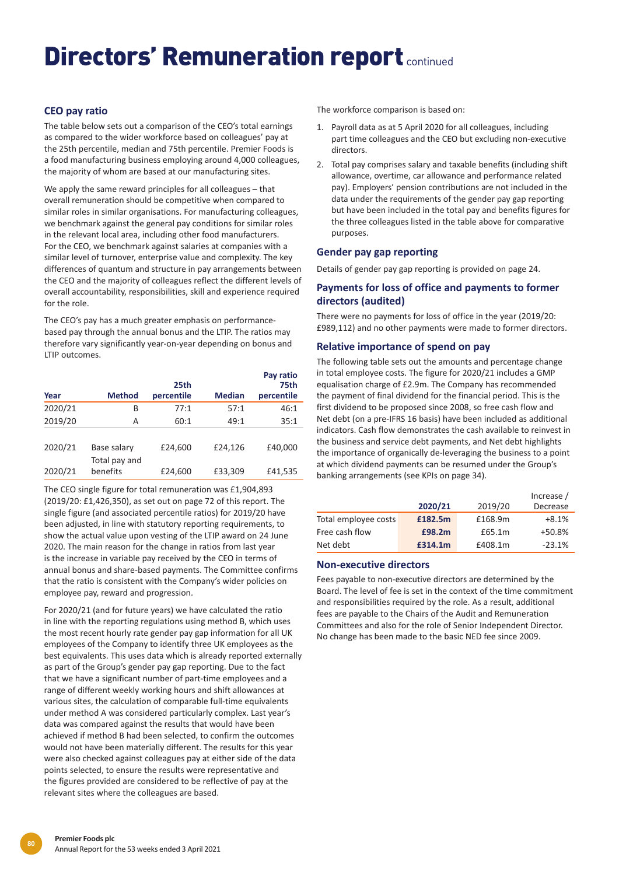# **CEO pay ratio**

The table below sets out a comparison of the CEO's total earnings as compared to the wider workforce based on colleagues' pay at the 25th percentile, median and 75th percentile. Premier Foods is a food manufacturing business employing around 4,000 colleagues, the majority of whom are based at our manufacturing sites.

We apply the same reward principles for all colleagues – that overall remuneration should be competitive when compared to similar roles in similar organisations. For manufacturing colleagues, we benchmark against the general pay conditions for similar roles in the relevant local area, including other food manufacturers. For the CEO, we benchmark against salaries at companies with a similar level of turnover, enterprise value and complexity. The key differences of quantum and structure in pay arrangements between the CEO and the majority of colleagues reflect the different levels of overall accountability, responsibilities, skill and experience required for the role.

The CEO's pay has a much greater emphasis on performancebased pay through the annual bonus and the LTIP. The ratios may therefore vary significantly year-on-year depending on bonus and LTIP outcomes.

|         |                              |                    |               | Pay ratio          |
|---------|------------------------------|--------------------|---------------|--------------------|
| Year    | <b>Method</b>                | 25th<br>percentile | <b>Median</b> | 75th<br>percentile |
| 2020/21 | B                            | 77:1               | 57:1          | 46:1               |
| 2019/20 | А                            | 60:1               | 49:1          | 35:1               |
| 2020/21 | Base salary<br>Total pay and | £24,600            | £24.126       | £40,000            |
| 2020/21 | benefits                     | £24,600            | £33,309       | £41,535            |

The CEO single figure for total remuneration was £1,904,893 (2019/20: £1,426,350), as set out on page 72 of this report. The single figure (and associated percentile ratios) for 2019/20 have been adjusted, in line with statutory reporting requirements, to show the actual value upon vesting of the LTIP award on 24 June 2020. The main reason for the change in ratios from last year is the increase in variable pay received by the CEO in terms of annual bonus and share-based payments. The Committee confirms that the ratio is consistent with the Company's wider policies on employee pay, reward and progression.

For 2020/21 (and for future years) we have calculated the ratio in line with the reporting regulations using method B, which uses the most recent hourly rate gender pay gap information for all UK employees of the Company to identify three UK employees as the best equivalents. This uses data which is already reported externally as part of the Group's gender pay gap reporting. Due to the fact that we have a significant number of part-time employees and a range of different weekly working hours and shift allowances at various sites, the calculation of comparable full-time equivalents under method A was considered particularly complex. Last year's data was compared against the results that would have been achieved if method B had been selected, to confirm the outcomes would not have been materially different. The results for this year were also checked against colleagues pay at either side of the data points selected, to ensure the results were representative and the figures provided are considered to be reflective of pay at the relevant sites where the colleagues are based.

The workforce comparison is based on:

- 1. Payroll data as at 5 April 2020 for all colleagues, including part time colleagues and the CEO but excluding non-executive directors.
- 2. Total pay comprises salary and taxable benefits (including shift allowance, overtime, car allowance and performance related pay). Employers' pension contributions are not included in the data under the requirements of the gender pay gap reporting but have been included in the total pay and benefits figures for the three colleagues listed in the table above for comparative purposes.

# **Gender pay gap reporting**

Details of gender pay gap reporting is provided on page 24.

# **Payments for loss of office and payments to former directors (audited)**

There were no payments for loss of office in the year (2019/20: £989,112) and no other payments were made to former directors.

# **Relative importance of spend on pay**

The following table sets out the amounts and percentage change in total employee costs. The figure for 2020/21 includes a GMP equalisation charge of £2.9m. The Company has recommended the payment of final dividend for the financial period. This is the first dividend to be proposed since 2008, so free cash flow and Net debt (on a pre-IFRS 16 basis) have been included as additional indicators. Cash flow demonstrates the cash available to reinvest in the business and service debt payments, and Net debt highlights the importance of organically de-leveraging the business to a point at which dividend payments can be resumed under the Group's banking arrangements (see KPIs on page 34).

|                      | 2020/21 | 2019/20 | Increase /<br>Decrease |
|----------------------|---------|---------|------------------------|
| Total employee costs | £182.5m | £168.9m | $+8.1%$                |
| Free cash flow       | £98.2m  | £65.1m  | +50.8%                 |
| Net debt             | £314.1m | £408.1m | $-23.1%$               |

# **Non-executive directors**

Fees payable to non-executive directors are determined by the Board. The level of fee is set in the context of the time commitment and responsibilities required by the role. As a result, additional fees are payable to the Chairs of the Audit and Remuneration Committees and also for the role of Senior Independent Director. No change has been made to the basic NED fee since 2009.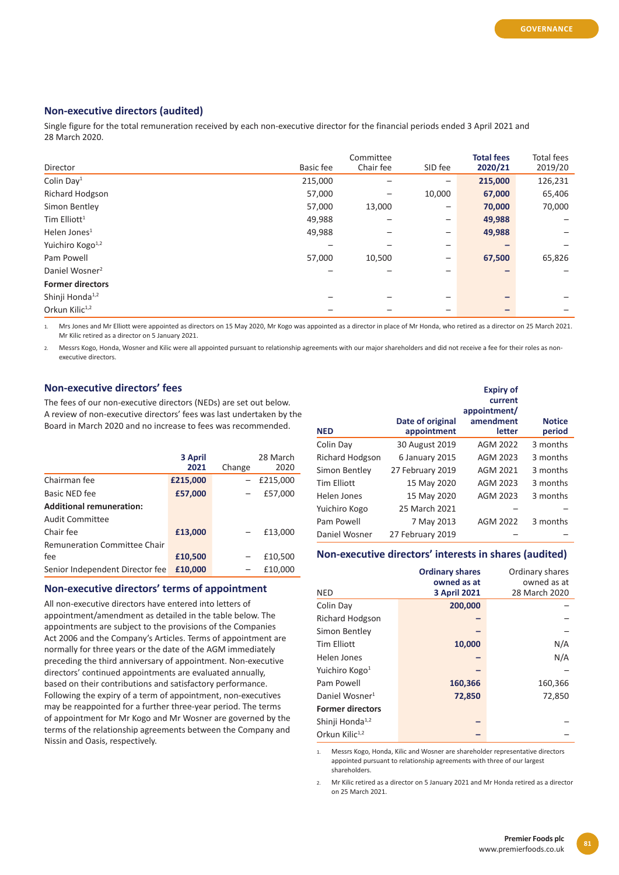# **Non-executive directors (audited)**

Single figure for the total remuneration received by each non-executive director for the financial periods ended 3 April 2021 and 28 March 2020.

| Director                     | Basic fee | Committee<br>Chair fee | SID fee                  | <b>Total fees</b><br>2020/21 | <b>Total fees</b><br>2019/20 |
|------------------------------|-----------|------------------------|--------------------------|------------------------------|------------------------------|
| Colin Day <sup>1</sup>       | 215,000   |                        |                          | 215,000                      | 126,231                      |
| Richard Hodgson              | 57,000    |                        | 10,000                   | 67,000                       | 65,406                       |
| Simon Bentley                | 57,000    | 13,000                 | $\overline{\phantom{m}}$ | 70,000                       | 70,000                       |
| Tim Elliott <sup>1</sup>     | 49,988    |                        | $\overline{\phantom{m}}$ | 49,988                       |                              |
| Helen Jones <sup>1</sup>     | 49,988    |                        | $\qquad \qquad$          | 49,988                       |                              |
| Yuichiro Kogo <sup>1,2</sup> |           |                        | $\qquad \qquad$          |                              |                              |
| Pam Powell                   | 57,000    | 10,500                 | $\qquad \qquad -$        | 67,500                       | 65,826                       |
| Daniel Wosner <sup>2</sup>   |           |                        |                          |                              |                              |
| <b>Former directors</b>      |           |                        |                          |                              |                              |
| Shinji Honda <sup>1,2</sup>  |           |                        |                          |                              |                              |
| Orkun Kilic <sup>1,2</sup>   |           |                        |                          |                              |                              |

1. Mrs Jones and Mr Elliott were appointed as directors on 15 May 2020, Mr Kogo was appointed as a director in place of Mr Honda, who retired as a director on 25 March 2021. Mr Kilic retired as a director on 5 January 2021.

2. Messrs Kogo, Honda, Wosner and Kilic were all appointed pursuant to relationship agreements with our major shareholders and did not receive a fee for their roles as nonexecutive directors.

## **Non-executive directors' fees**

The fees of our non-executive directors (NEDs) are set out below. A review of non-executive directors' fees was last undertaken by the Board in March 2020 and no increase to fees was recommended.

|                                 | 3 April<br>2021 | Change | 28 March<br>2020 |
|---------------------------------|-----------------|--------|------------------|
| Chairman fee                    | £215,000        |        | £215,000         |
| Basic NED fee                   | £57,000         |        | £57,000          |
| <b>Additional remuneration:</b> |                 |        |                  |
| <b>Audit Committee</b>          |                 |        |                  |
| Chair fee                       | £13,000         |        | £13,000          |
| Remuneration Committee Chair    |                 |        |                  |
| fee                             | £10,500         |        | £10,500          |
| Senior Independent Director fee | £10,000         |        | £10,000          |

#### **Non-executive directors' terms of appointment**

All non-executive directors have entered into letters of appointment/amendment as detailed in the table below. The appointments are subject to the provisions of the Companies Act 2006 and the Company's Articles. Terms of appointment are normally for three years or the date of the AGM immediately preceding the third anniversary of appointment. Non-executive directors' continued appointments are evaluated annually, based on their contributions and satisfactory performance. Following the expiry of a term of appointment, non-executives may be reappointed for a further three-year period. The terms of appointment for Mr Kogo and Mr Wosner are governed by the terms of the relationship agreements between the Company and Nissin and Oasis, respectively.

|                        |                                 | <b>Expiry of</b><br>current<br>appointment/ |                         |
|------------------------|---------------------------------|---------------------------------------------|-------------------------|
| <b>NED</b>             | Date of original<br>appointment | amendment<br>letter                         | <b>Notice</b><br>period |
| Colin Day              | 30 August 2019                  | AGM 2022                                    | 3 months                |
| <b>Richard Hodgson</b> | 6 January 2015                  | AGM 2023                                    | 3 months                |
| Simon Bentley          | 27 February 2019                | AGM 2021                                    | 3 months                |
| <b>Tim Elliott</b>     | 15 May 2020                     | AGM 2023                                    | 3 months                |
| Helen Jones            | 15 May 2020                     | AGM 2023                                    | 3 months                |
| Yuichiro Kogo          | 25 March 2021                   |                                             |                         |
| Pam Powell             | 7 May 2013                      | AGM 2022                                    | 3 months                |
| Daniel Wosner          | 27 February 2019                |                                             |                         |

### **Non-executive directors' interests in shares (audited)**

| <b>NED</b>                  | <b>Ordinary shares</b><br>owned as at<br><b>3 April 2021</b> | Ordinary shares<br>owned as at<br>28 March 2020 |
|-----------------------------|--------------------------------------------------------------|-------------------------------------------------|
| Colin Day                   | 200,000                                                      |                                                 |
| <b>Richard Hodgson</b>      |                                                              |                                                 |
| Simon Bentley               |                                                              |                                                 |
| <b>Tim Elliott</b>          | 10,000                                                       | N/A                                             |
| Helen Jones                 |                                                              | N/A                                             |
| Yuichiro Kogo <sup>1</sup>  |                                                              |                                                 |
| Pam Powell                  | 160,366                                                      | 160,366                                         |
| Daniel Wosner <sup>1</sup>  | 72,850                                                       | 72,850                                          |
| <b>Former directors</b>     |                                                              |                                                 |
| Shinji Honda <sup>1,2</sup> |                                                              |                                                 |
| Orkun Kilic <sup>1,2</sup>  |                                                              |                                                 |

1. Messrs Kogo, Honda, Kilic and Wosner are shareholder representative directors appointed pursuant to relationship agreements with three of our largest shareholders.

2. Mr Kilic retired as a director on 5 January 2021 and Mr Honda retired as a director on 25 March 2021.

**81**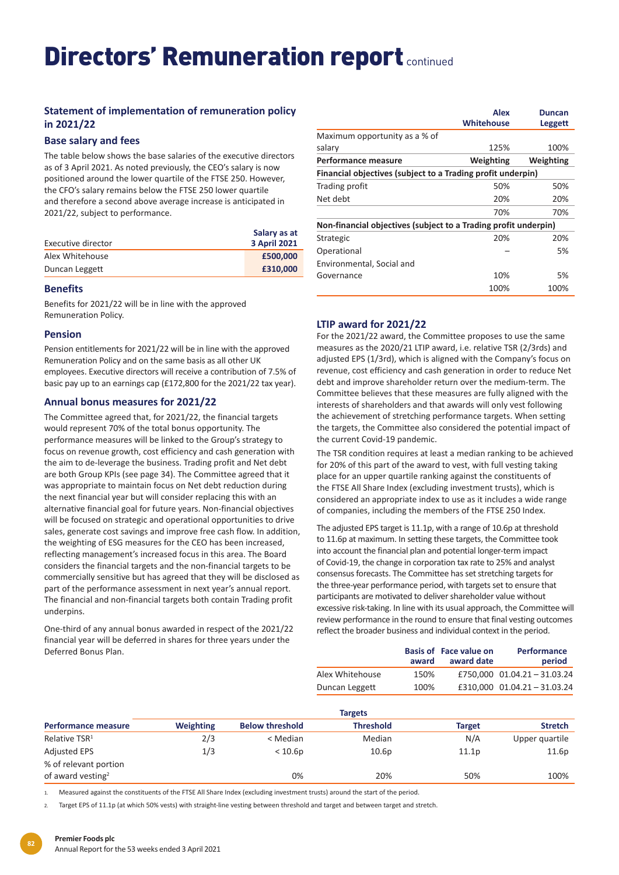# **Statement of implementation of remuneration policy in 2021/22**

# **Base salary and fees**

The table below shows the base salaries of the executive directors as of 3 April 2021. As noted previously, the CEO's salary is now positioned around the lower quartile of the FTSE 250. However, the CFO's salary remains below the FTSE 250 lower quartile and therefore a second above average increase is anticipated in 2021/22, subject to performance.

|                    | Salary as at        |
|--------------------|---------------------|
| Executive director | <b>3 April 2021</b> |
| Alex Whitehouse    | £500,000            |
| Duncan Leggett     | £310,000            |

### **Benefits**

Benefits for 2021/22 will be in line with the approved Remuneration Policy.

# **Pension**

Pension entitlements for 2021/22 will be in line with the approved Remuneration Policy and on the same basis as all other UK employees. Executive directors will receive a contribution of 7.5% of basic pay up to an earnings cap (£172,800 for the 2021/22 tax year).

# **Annual bonus measures for 2021/22**

The Committee agreed that, for 2021/22, the financial targets would represent 70% of the total bonus opportunity. The performance measures will be linked to the Group's strategy to focus on revenue growth, cost efficiency and cash generation with the aim to de-leverage the business. Trading profit and Net debt are both Group KPIs (see page 34). The Committee agreed that it was appropriate to maintain focus on Net debt reduction during the next financial year but will consider replacing this with an alternative financial goal for future years. Non-financial objectives will be focused on strategic and operational opportunities to drive sales, generate cost savings and improve free cash flow. In addition, the weighting of ESG measures for the CEO has been increased, reflecting management's increased focus in this area. The Board considers the financial targets and the non-financial targets to be commercially sensitive but has agreed that they will be disclosed as part of the performance assessment in next year's annual report. The financial and non-financial targets both contain Trading profit underpins.

One-third of any annual bonus awarded in respect of the 2021/22 financial year will be deferred in shares for three years under the Deferred Bonus Plan.

|                                                                 | <b>Alex</b><br><b>Whitehouse</b> | Duncan<br><b>Leggett</b> |
|-----------------------------------------------------------------|----------------------------------|--------------------------|
| Maximum opportunity as a % of                                   |                                  |                          |
| salary                                                          | 125%                             | 100%                     |
| Performance measure                                             | Weighting                        | Weighting                |
| Financial objectives (subject to a Trading profit underpin)     |                                  |                          |
| Trading profit                                                  | 50%                              | 50%                      |
| Net debt                                                        | 20%                              | 20%                      |
|                                                                 | 70%                              | 70%                      |
| Non-financial objectives (subject to a Trading profit underpin) |                                  |                          |
| Strategic                                                       | 20%                              | 20%                      |
| Operational                                                     |                                  | 5%                       |
| Environmental, Social and                                       |                                  |                          |
| Governance                                                      | 10%                              | 5%                       |
|                                                                 | 100%                             | 100%                     |

# **LTIP award for 2021/22**

For the 2021/22 award, the Committee proposes to use the same measures as the 2020/21 LTIP award, i.e. relative TSR (2/3rds) and adjusted EPS (1/3rd), which is aligned with the Company's focus on revenue, cost efficiency and cash generation in order to reduce Net debt and improve shareholder return over the medium-term. The Committee believes that these measures are fully aligned with the interests of shareholders and that awards will only vest following the achievement of stretching performance targets. When setting the targets, the Committee also considered the potential impact of the current Covid-19 pandemic.

The TSR condition requires at least a median ranking to be achieved for 20% of this part of the award to vest, with full vesting taking place for an upper quartile ranking against the constituents of the FTSE All Share Index (excluding investment trusts), which is considered an appropriate index to use as it includes a wide range of companies, including the members of the FTSE 250 Index.

The adjusted EPS target is 11.1p, with a range of 10.6p at threshold to 11.6p at maximum. In setting these targets, the Committee took into account the financial plan and potential longer-term impact of Covid-19, the change in corporation tax rate to 25% and analyst consensus forecasts. The Committee has set stretching targets for the three-year performance period, with targets set to ensure that participants are motivated to deliver shareholder value without excessive risk-taking. In line with its usual approach, the Committee will review performance in the round to ensure that final vesting outcomes reflect the broader business and individual context in the period.

|                 | award | <b>Basis of Face value on</b><br>award date | <b>Performance</b><br>period |
|-----------------|-------|---------------------------------------------|------------------------------|
| Alex Whitehouse | 150%  |                                             | £750,000 01.04.21 - 31.03.24 |
| Duncan Leggett  | 100%  |                                             | £310,000 01.04.21 - 31.03.24 |

|                               |                  |                        | <b>Targets</b>    |               |                |
|-------------------------------|------------------|------------------------|-------------------|---------------|----------------|
| <b>Performance measure</b>    | <b>Weighting</b> | <b>Below threshold</b> | <b>Threshold</b>  | <b>Target</b> | <b>Stretch</b> |
| Relative TSR <sup>1</sup>     | 2/3              | < Median               | Median            | N/A           | Upper quartile |
| <b>Adjusted EPS</b>           | 1/3              | < 10.6p                | 10.6 <sub>p</sub> | 11.1p         | 11.6p          |
| % of relevant portion         |                  |                        |                   |               |                |
| of award vesting <sup>2</sup> |                  | 0%                     | 20%               | 50%           | 100%           |

1. Measured against the constituents of the FTSE All Share Index (excluding investment trusts) around the start of the period.

Target EPS of 11.1p (at which 50% vests) with straight-line vesting between threshold and target and between target and stretch.